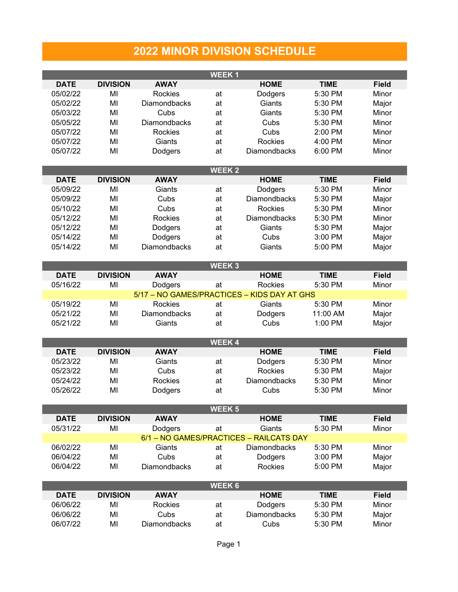## **2022 MINOR DIVISION SCHEDULE**

**WEEK 1**

| <b>DATE</b>                                 | <b>DIVISION</b> | <b>AWAY</b>         |               | <b>HOME</b>                             | <b>TIME</b> | <b>Field</b> |  |  |  |  |
|---------------------------------------------|-----------------|---------------------|---------------|-----------------------------------------|-------------|--------------|--|--|--|--|
| 05/02/22                                    | MI              | Rockies             | at            | Dodgers                                 | 5:30 PM     | Minor        |  |  |  |  |
| 05/02/22                                    | MI              | Diamondbacks        | at            | Giants                                  | 5:30 PM     | Major        |  |  |  |  |
| 05/03/22                                    | MI              | Cubs                | at            | Giants                                  | 5:30 PM     | Minor        |  |  |  |  |
| 05/05/22                                    | MI              | Diamondbacks        | at            | Cubs                                    | 5:30 PM     | Minor        |  |  |  |  |
| 05/07/22                                    | MI              | Rockies             |               | Cubs                                    | 2:00 PM     | Minor        |  |  |  |  |
|                                             |                 |                     | at            |                                         |             |              |  |  |  |  |
| 05/07/22                                    | MI              | Giants              | at            | Rockies                                 | 4:00 PM     | Minor        |  |  |  |  |
| 05/07/22                                    | MI              | Dodgers             | at            | Diamondbacks                            | 6:00 PM     | Minor        |  |  |  |  |
|                                             |                 |                     |               |                                         |             |              |  |  |  |  |
|                                             |                 |                     | <b>WEEK2</b>  |                                         |             |              |  |  |  |  |
| <b>DATE</b>                                 | <b>DIVISION</b> | <b>AWAY</b>         |               | <b>HOME</b>                             | <b>TIME</b> | <b>Field</b> |  |  |  |  |
| 05/09/22                                    | MI              | Giants              | at            | Dodgers                                 | 5:30 PM     | Minor        |  |  |  |  |
| 05/09/22                                    | MI              | Cubs                | at            | Diamondbacks                            | 5:30 PM     | Major        |  |  |  |  |
| 05/10/22                                    | MI              | Cubs                | at            | Rockies                                 | 5:30 PM     | Minor        |  |  |  |  |
| 05/12/22                                    | MI              | Rockies             | at            | Diamondbacks                            | 5:30 PM     | Minor        |  |  |  |  |
| 05/12/22                                    | MI              |                     | at            | Giants                                  | 5:30 PM     |              |  |  |  |  |
|                                             |                 | Dodgers             |               |                                         |             | Major        |  |  |  |  |
| 05/14/22                                    | MI              | Dodgers             | at            | Cubs                                    | 3:00 PM     | Major        |  |  |  |  |
| 05/14/22                                    | MI              | Diamondbacks        | at            | Giants                                  | 5:00 PM     | Major        |  |  |  |  |
|                                             |                 |                     |               |                                         |             |              |  |  |  |  |
|                                             |                 |                     | WEEK 3        |                                         |             |              |  |  |  |  |
| <b>DATE</b>                                 | <b>DIVISION</b> | <b>AWAY</b>         |               | <b>HOME</b>                             | <b>TIME</b> | <b>Field</b> |  |  |  |  |
| 05/16/22                                    | MI              | Dodgers             | at            | Rockies                                 | 5:30 PM     | Minor        |  |  |  |  |
| 5/17 - NO GAMES/PRACTICES - KIDS DAY AT GHS |                 |                     |               |                                         |             |              |  |  |  |  |
| 05/19/22                                    | MI              | Rockies             | at            | Giants                                  | 5:30 PM     | Minor        |  |  |  |  |
| 05/21/22                                    | MI              | Diamondbacks        | at            | Dodgers                                 | 11:00 AM    | Major        |  |  |  |  |
| 05/21/22                                    | MI              | Giants              | at            | Cubs                                    | 1:00 PM     | Major        |  |  |  |  |
|                                             |                 |                     |               |                                         |             |              |  |  |  |  |
|                                             |                 |                     |               |                                         |             |              |  |  |  |  |
|                                             |                 |                     | <b>WEEK4</b>  |                                         |             |              |  |  |  |  |
| <b>DATE</b>                                 | <b>DIVISION</b> | <b>AWAY</b>         |               | <b>HOME</b>                             | <b>TIME</b> | <b>Field</b> |  |  |  |  |
| 05/23/22                                    | MI              | Giants              | at            | Dodgers                                 | 5:30 PM     | Minor        |  |  |  |  |
| 05/23/22                                    | MI              | Cubs                | at            | Rockies                                 | 5:30 PM     | Major        |  |  |  |  |
| 05/24/22                                    | MI              | Rockies             | at            | Diamondbacks                            | 5:30 PM     | Minor        |  |  |  |  |
| 05/26/22                                    | MI              | Dodgers             | at            | Cubs                                    | 5:30 PM     | Minor        |  |  |  |  |
|                                             |                 |                     |               |                                         |             |              |  |  |  |  |
|                                             |                 |                     | <b>WEEK 5</b> |                                         |             |              |  |  |  |  |
| <b>DATE</b>                                 | <b>DIVISION</b> | <b>AWAY</b>         |               | <b>HOME</b>                             | <b>TIME</b> | <b>Field</b> |  |  |  |  |
| 05/31/22                                    | MI              | Dodgers             | at            | Giants                                  | 5:30 PM     | Minor        |  |  |  |  |
|                                             |                 |                     |               | 6/1 - NO GAMES/PRACTICES - RAILCATS DAY |             |              |  |  |  |  |
| 06/02/22                                    | MI              | Giants              | at            | Diamondbacks                            | 5:30 PM     | Minor        |  |  |  |  |
|                                             |                 |                     |               |                                         |             |              |  |  |  |  |
| 06/04/22                                    | MI              | Cubs                | at            | Dodgers                                 | 3:00 PM     | Major        |  |  |  |  |
| 06/04/22                                    | MI              | <b>Diamondbacks</b> | at            | Rockies                                 | 5:00 PM     | Major        |  |  |  |  |
|                                             |                 |                     |               |                                         |             |              |  |  |  |  |
|                                             |                 |                     | WEEK 6        |                                         |             |              |  |  |  |  |
| <b>DATE</b>                                 | <b>DIVISION</b> | <b>AWAY</b>         |               | <b>HOME</b>                             | <b>TIME</b> | <b>Field</b> |  |  |  |  |
| 06/06/22                                    | MI              | Rockies             | at            | Dodgers                                 | 5:30 PM     | Minor        |  |  |  |  |
| 06/06/22                                    | MI              | Cubs                | at            | Diamondbacks                            | 5:30 PM     | Major        |  |  |  |  |
| 06/07/22                                    | MI              | Diamondbacks        | at            | Cubs                                    | 5:30 PM     | Minor        |  |  |  |  |
|                                             |                 |                     |               |                                         |             |              |  |  |  |  |